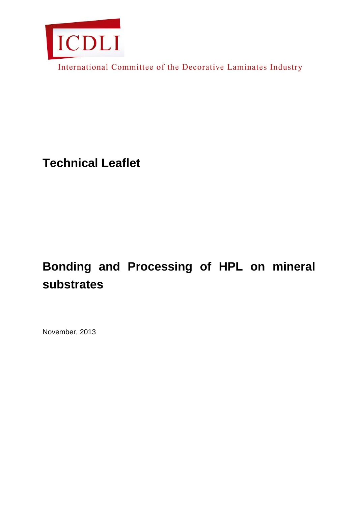

International Committee of the Decorative Laminates Industry

**Technical Leaflet**

# **Bonding and Processing of HPL on mineral substrates**

November, 2013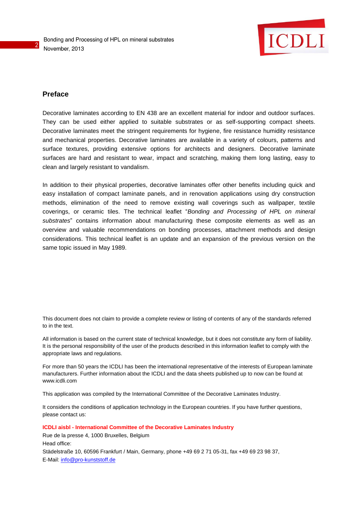

## **Preface**

2

Decorative laminates according to EN 438 are an excellent material for indoor and outdoor surfaces. They can be used either applied to suitable substrates or as self-supporting compact sheets. Decorative laminates meet the stringent requirements for hygiene, fire resistance humidity resistance and mechanical properties. Decorative laminates are available in a variety of colours, patterns and surface textures, providing extensive options for architects and designers. Decorative laminate surfaces are hard and resistant to wear, impact and scratching, making them long lasting, easy to clean and largely resistant to vandalism.

In addition to their physical properties, decorative laminates offer other benefits including quick and easy installation of compact laminate panels, and in renovation applications using dry construction methods, elimination of the need to remove existing wall coverings such as wallpaper, textile coverings, or ceramic tiles. The technical leaflet "*Bonding and Processing of HPL on mineral substrates*" contains information about manufacturing these composite elements as well as an overview and valuable recommendations on bonding processes, attachment methods and design considerations. This technical leaflet is an update and an expansion of the previous version on the same topic issued in May 1989.

This document does not claim to provide a complete review or listing of contents of any of the standards referred to in the text.

All information is based on the current state of technical knowledge, but it does not constitute any form of liability. It is the personal responsibility of the user of the products described in this information leaflet to comply with the appropriate laws and regulations.

For more than 50 years the ICDLI has been the international representative of the interests of European laminate manufacturers. Further information about the ICDLI and the data sheets published up to now can be found at www.icdli.com

This application was compiled by the International Committee of the Decorative Laminates Industry.

It considers the conditions of application technology in the European countries. If you have further questions, please contact us:

**ICDLI aisbl - International Committee of the Decorative Laminates Industry**

Rue de la presse 4, 1000 Bruxelles, Belgium Head office: Städelstraße 10, 60596 Frankfurt / Main, Germany, phone +49 69 2 71 05-31, fax +49 69 23 98 37, E-Mail: [info@pro-kunststoff.de](mailto:info@pro-kunststoff.de)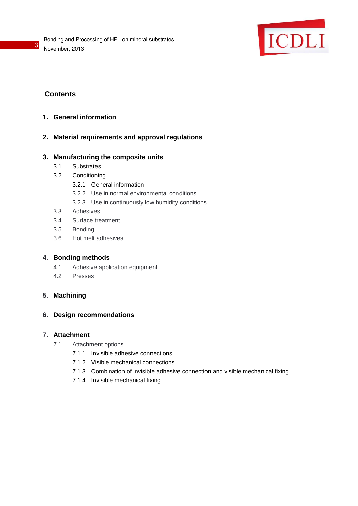

## **Contents**

3

- **1. General information**
- **2. Material requirements and approval regulations**

## **3. Manufacturing the composite units**

- 3.1 Substrates
- 3.2 Conditioning
	- 3.2.1 General information
	- 3.2.2 Use in normal environmental conditions
	- 3.2.3 Use in continuously low humidity conditions
- 3.3 Adhesives
- 3.4 Surface treatment
- 3.5 Bonding
- 3.6 Hot melt adhesives

## **4. Bonding methods**

- 4.1 Adhesive application equipment
- 4.2 Presses

## **5. Machining**

## **6. Design recommendations**

## **7. Attachment**

- 7.1. Attachment options
	- 7.1.1 Invisible adhesive connections
	- 7.1.2 Visible mechanical connections
	- 7.1.3 Combination of invisible adhesive connection and visible mechanical fixing
	- 7.1.4 Invisible mechanical fixing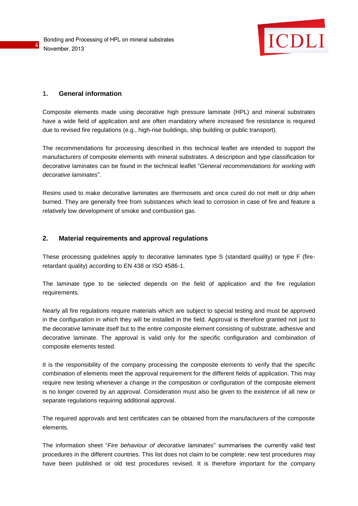

## **1. General information**

4

Composite elements made using decorative high pressure laminate (HPL) and mineral substrates have a wide field of application and are often mandatory where increased fire resistance is required due to revised fire regulations (e.g., high-rise buildings, ship building or public transport).

The recommendations for processing described in this technical leaflet are intended to support the manufacturers of composite elements with mineral substrates. A description and type classification for decorative laminates can be found in the technical leaflet "*General recommendations for working with decorative laminates*".

Resins used to make decorative laminates are thermosets and once cured do not melt or drip when burned. They are generally free from substances which lead to corrosion in case of fire and feature a relatively low development of smoke and combustion gas.

#### **2. Material requirements and approval regulations**

These processing guidelines apply to decorative laminates type S (standard quality) or type F (fireretardant quality) according to EN 438 or ISO 4586-1.

The laminate type to be selected depends on the field of application and the fire regulation requirements.

Nearly all fire regulations require materials which are subject to special testing and must be approved in the configuration in which they will be installed in the field. Approval is therefore granted not just to the decorative laminate itself but to the entire composite element consisting of substrate, adhesive and decorative laminate. The approval is valid only for the specific configuration and combination of composite elements tested.

It is the responsibility of the company processing the composite elements to verify that the specific combination of elements meet the approval requirement for the different fields of application. This may require new testing whenever a change in the composition or configuration of the composite element is no longer covered by an approval. Consideration must also be given to the existence of all new or separate regulations requiring additional approval.

The required approvals and test certificates can be obtained from the manufacturers of the composite elements.

The information sheet "*Fire behaviour of decorative laminates*" summarises the currently valid test procedures in the different countries. This list does not claim to be complete; new test procedures may have been published or old test procedures revised. It is therefore important for the company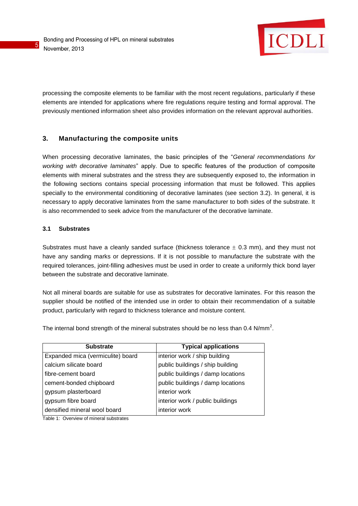

processing the composite elements to be familiar with the most recent regulations, particularly if these elements are intended for applications where fire regulations require testing and formal approval. The previously mentioned information sheet also provides information on the relevant approval authorities.

## **3. Manufacturing the composite units**

When processing decorative laminates, the basic principles of the "*General recommendations for working with decorative laminates*" apply. Due to specific features of the production of composite elements with mineral substrates and the stress they are subsequently exposed to, the information in the following sections contains special processing information that must be followed. This applies specially to the environmental conditioning of decorative laminates (see section 3.2). In general, it is necessary to apply decorative laminates from the same manufacturer to both sides of the substrate. It is also recommended to seek advice from the manufacturer of the decorative laminate.

## **3.1 Substrates**

5

Substrates must have a cleanly sanded surface (thickness tolerance  $\pm$  0.3 mm), and they must not have any sanding marks or depressions. If it is not possible to manufacture the substrate with the required tolerances, joint-filling adhesives must be used in order to create a uniformly thick bond layer between the substrate and decorative laminate.

Not all mineral boards are suitable for use as substrates for decorative laminates. For this reason the supplier should be notified of the intended use in order to obtain their recommendation of a suitable product, particularly with regard to thickness tolerance and moisture content.

The internal bond strength of the mineral substrates should be no less than 0.4 N/mm<sup>2</sup>.

| <b>Substrate</b>                  | <b>Typical applications</b>       |
|-----------------------------------|-----------------------------------|
| Expanded mica (vermiculite) board | interior work / ship building     |
| calcium silicate board            | public buildings / ship building  |
| fibre-cement board                | public buildings / damp locations |
| cement-bonded chipboard           | public buildings / damp locations |
| gypsum plasterboard               | interior work                     |
| gypsum fibre board                | interior work / public buildings  |
| densified mineral wool board      | interior work                     |

Table 1: Overview of mineral substrates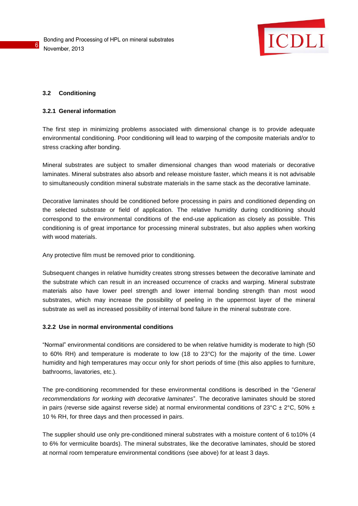

#### **3.2 Conditioning**

6

#### **3.2.1 General information**

The first step in minimizing problems associated with dimensional change is to provide adequate environmental conditioning. Poor conditioning will lead to warping of the composite materials and/or to stress cracking after bonding.

Mineral substrates are subject to smaller dimensional changes than wood materials or decorative laminates. Mineral substrates also absorb and release moisture faster, which means it is not advisable to simultaneously condition mineral substrate materials in the same stack as the decorative laminate.

Decorative laminates should be conditioned before processing in pairs and conditioned depending on the selected substrate or field of application. The relative humidity during conditioning should correspond to the environmental conditions of the end-use application as closely as possible. This conditioning is of great importance for processing mineral substrates, but also applies when working with wood materials.

Any protective film must be removed prior to conditioning.

Subsequent changes in relative humidity creates strong stresses between the decorative laminate and the substrate which can result in an increased occurrence of cracks and warping. Mineral substrate materials also have lower peel strength and lower internal bonding strength than most wood substrates, which may increase the possibility of peeling in the uppermost layer of the mineral substrate as well as increased possibility of internal bond failure in the mineral substrate core.

#### **3.2.2 Use in normal environmental conditions**

"Normal" environmental conditions are considered to be when relative humidity is moderate to high (50 to 60% RH) and temperature is moderate to low (18 to 23°C) for the majority of the time. Lower humidity and high temperatures may occur only for short periods of time (this also applies to furniture, bathrooms, lavatories, etc.).

The pre-conditioning recommended for these environmental conditions is described in the "*General recommendations for working with decorative laminates*". The decorative laminates should be stored in pairs (reverse side against reverse side) at normal environmental conditions of 23°C  $\pm$  2°C, 50%  $\pm$ 10 % RH, for three days and then processed in pairs.

The supplier should use only pre-conditioned mineral substrates with a moisture content of 6 to10% (4 to 6% for vermiculite boards). The mineral substrates, like the decorative laminates, should be stored at normal room temperature environmental conditions (see above) for at least 3 days.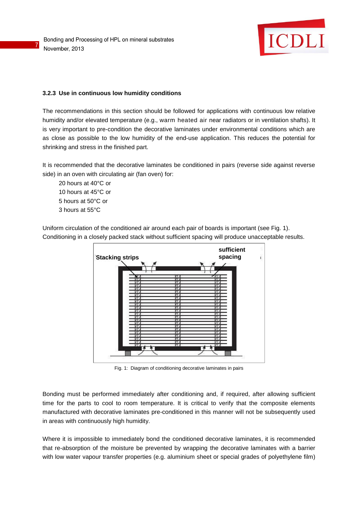7



## **3.2.3 Use in continuous low humidity conditions**

The recommendations in this section should be followed for applications with continuous low relative humidity and/or elevated temperature (e.g., warm heated air near radiators or in ventilation shafts). It is very important to pre-condition the decorative laminates under environmental conditions which are as close as possible to the low humidity of the end-use application. This reduces the potential for shrinking and stress in the finished part.

It is recommended that the decorative laminates be conditioned in pairs (reverse side against reverse side) in an oven with circulating air (fan oven) for:

20 hours at 40°C or 10 hours at 45°C or 5 hours at 50°C or 3 hours at 55°C

Uniform circulation of the conditioned air around each pair of boards is important (see Fig. 1). Conditioning in a closely packed stack without sufficient spacing will produce unacceptable results.



Fig. 1: Diagram of conditioning decorative laminates in pairs

Bonding must be performed immediately after conditioning and, if required, after allowing sufficient time for the parts to cool to room temperature. It is critical to verify that the composite elements manufactured with decorative laminates pre-conditioned in this manner will not be subsequently used in areas with continuously high humidity.

Where it is impossible to immediately bond the conditioned decorative laminates, it is recommended that re-absorption of the moisture be prevented by wrapping the decorative laminates with a barrier with low water vapour transfer properties (e.g. aluminium sheet or special grades of polyethylene film)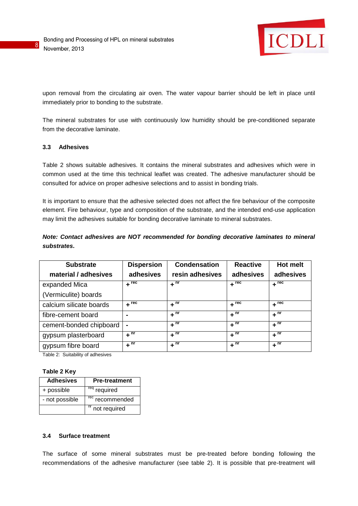

upon removal from the circulating air oven. The water vapour barrier should be left in place until immediately prior to bonding to the substrate.

The mineral substrates for use with continuously low humidity should be pre-conditioned separate from the decorative laminate.

#### **3.3 Adhesives**

8

Table 2 shows suitable adhesives. It contains the mineral substrates and adhesives which were in common used at the time this technical leaflet was created. The adhesive manufacturer should be consulted for advice on proper adhesive selections and to assist in bonding trials.

It is important to ensure that the adhesive selected does not affect the fire behaviour of the composite element. Fire behaviour, type and composition of the substrate, and the intended end-use application may limit the adhesives suitable for bonding decorative laminate to mineral substrates.

*Note: Contact adhesives are NOT recommended for bonding decorative laminates to mineral substrates***.**

| <b>Substrate</b>        | <b>Dispersion</b>              | <b>Condensation</b> | <b>Reactive</b>    | Hot melt                          |
|-------------------------|--------------------------------|---------------------|--------------------|-----------------------------------|
| material / adhesives    | adhesives                      | resin adhesives     | adhesives          | adhesives                         |
| expanded Mica           | $+$ rec                        | $+$ <sup>nr</sup>   | $+$ <sup>rec</sup> | $+$ rec                           |
| (Vermiculite) boards    |                                |                     |                    |                                   |
| calcium silicate boards | $+$ $\overline{^{\text{rec}}}$ | $+$ <sup>nr</sup>   | $+$ <sup>rec</sup> | $+$ $\overline{r}$ <sup>rec</sup> |
| fibre-cement board      |                                | $+$ <sup>nr</sup>   | $+$ <sup>nr</sup>  | $+$ <sup>nr</sup>                 |
| cement-bonded chipboard | $\blacksquare$                 | $+$ <sup>nr</sup>   | $+$ <sup>nr</sup>  | $+$ <sup>nr</sup>                 |
| gypsum plasterboard     | $+$ <sup>nr</sup>              | $+$ <sup>nr</sup>   | $+$ <sup>nr</sup>  | $+$ <sup>nr</sup>                 |
| gypsum fibre board      | $+$ <sup>nr</sup>              | $+$ <sup>nr</sup>   | $+$ <sup>nr</sup>  | $+$ <sup>nr</sup>                 |

Table 2: Suitability of adhesives

#### **Table 2 Key**

| <b>Adhesives</b> | <b>Pre-treatment</b>                |
|------------------|-------------------------------------|
| + possible       | required                            |
| - not possible   | $\overline{\text{rec}}$ recommended |
|                  | <sup>nr</sup> not required          |

#### **3.4 Surface treatment**

The surface of some mineral substrates must be pre-treated before bonding following the recommendations of the adhesive manufacturer (see table 2). It is possible that pre-treatment will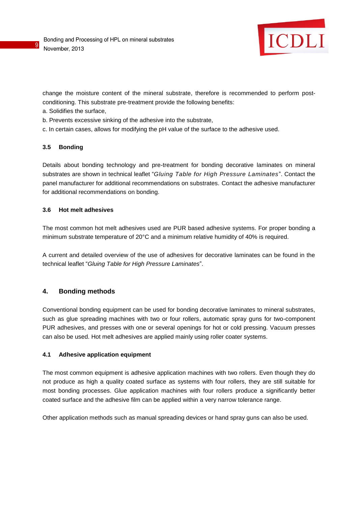

change the moisture content of the mineral substrate, therefore is recommended to perform postconditioning. This substrate pre-treatment provide the following benefits:

- a. Solidifies the surface,
- b. Prevents excessive sinking of the adhesive into the substrate,
- c. In certain cases, allows for modifying the pH value of the surface to the adhesive used.

## **3.5 Bonding**

9

Details about bonding technology and pre-treatment for bonding decorative laminates on mineral substrates are shown in technical leaflet "*Gluing Table for High Pressure Laminates*". Contact the panel manufacturer for additional recommendations on substrates. Contact the adhesive manufacturer for additional recommendations on bonding.

## **3.6 Hot melt adhesives**

The most common hot melt adhesives used are PUR based adhesive systems. For proper bonding a minimum substrate temperature of 20°C and a minimum relative humidity of 40% is required.

A current and detailed overview of the use of adhesives for decorative laminates can be found in the technical leaflet "*Gluing Table for High Pressure Laminates*".

## **4. Bonding methods**

Conventional bonding equipment can be used for bonding decorative laminates to mineral substrates, such as glue spreading machines with two or four rollers, automatic spray guns for two-component PUR adhesives, and presses with one or several openings for hot or cold pressing. Vacuum presses can also be used. Hot melt adhesives are applied mainly using roller coater systems.

#### **4.1 Adhesive application equipment**

The most common equipment is adhesive application machines with two rollers. Even though they do not produce as high a quality coated surface as systems with four rollers, they are still suitable for most bonding processes. Glue application machines with four rollers produce a significantly better coated surface and the adhesive film can be applied within a very narrow tolerance range.

Other application methods such as manual spreading devices or hand spray guns can also be used.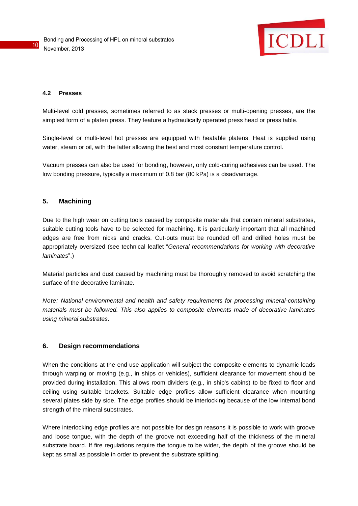

#### **4.2 Presses**

Multi-level cold presses, sometimes referred to as stack presses or multi-opening presses, are the simplest form of a platen press. They feature a hydraulically operated press head or press table.

Single-level or multi-level hot presses are equipped with heatable platens. Heat is supplied using water, steam or oil, with the latter allowing the best and most constant temperature control.

Vacuum presses can also be used for bonding, however, only cold-curing adhesives can be used. The low bonding pressure, typically a maximum of 0.8 bar (80 kPa) is a disadvantage.

#### **5. Machining**

Due to the high wear on cutting tools caused by composite materials that contain mineral substrates, suitable cutting tools have to be selected for machining. It is particularly important that all machined edges are free from nicks and cracks. Cut-outs must be rounded off and drilled holes must be appropriately oversized (see technical leaflet "*General recommendations for working with decorative laminates*".)

Material particles and dust caused by machining must be thoroughly removed to avoid scratching the surface of the decorative laminate.

*Note: National environmental and health and safety requirements for processing mineral-containing materials must be followed. This also applies to composite elements made of decorative laminates using mineral substrates*.

#### **6. Design recommendations**

When the conditions at the end-use application will subject the composite elements to dynamic loads through warping or moving (e.g., in ships or vehicles), sufficient clearance for movement should be provided during installation. This allows room dividers (e.g., in ship's cabins) to be fixed to floor and ceiling using suitable brackets. Suitable edge profiles allow sufficient clearance when mounting several plates side by side. The edge profiles should be interlocking because of the low internal bond strength of the mineral substrates.

Where interlocking edge profiles are not possible for design reasons it is possible to work with groove and loose tongue, with the depth of the groove not exceeding half of the thickness of the mineral substrate board. If fire regulations require the tongue to be wider, the depth of the groove should be kept as small as possible in order to prevent the substrate splitting.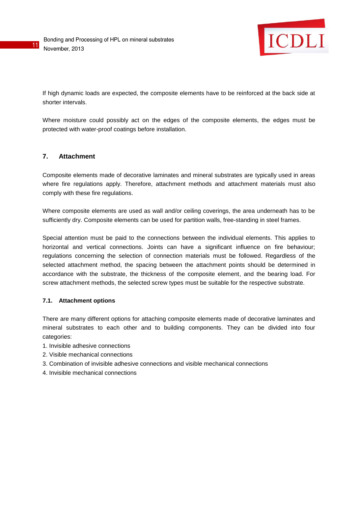

If high dynamic loads are expected, the composite elements have to be reinforced at the back side at shorter intervals.

Where moisture could possibly act on the edges of the composite elements, the edges must be protected with water-proof coatings before installation.

## **7. Attachment**

11

Composite elements made of decorative laminates and mineral substrates are typically used in areas where fire regulations apply. Therefore, attachment methods and attachment materials must also comply with these fire regulations.

Where composite elements are used as wall and/or ceiling coverings, the area underneath has to be sufficiently dry. Composite elements can be used for partition walls, free-standing in steel frames.

Special attention must be paid to the connections between the individual elements. This applies to horizontal and vertical connections. Joints can have a significant influence on fire behaviour; regulations concerning the selection of connection materials must be followed. Regardless of the selected attachment method, the spacing between the attachment points should be determined in accordance with the substrate, the thickness of the composite element, and the bearing load. For screw attachment methods, the selected screw types must be suitable for the respective substrate.

#### **7.1. Attachment options**

There are many different options for attaching composite elements made of decorative laminates and mineral substrates to each other and to building components. They can be divided into four categories:

- 1. Invisible adhesive connections
- 2. Visible mechanical connections
- 3. Combination of invisible adhesive connections and visible mechanical connections
- 4. Invisible mechanical connections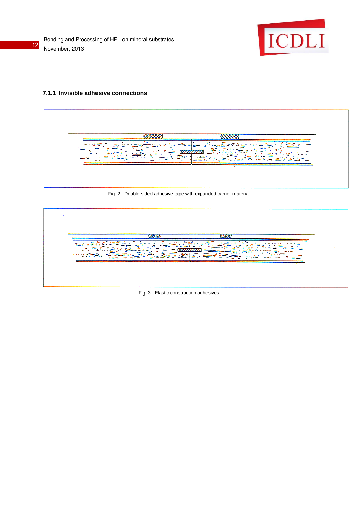

#### **7.1.1 Invisible adhesive connections**

Fig. 2: Double-sided adhesive tape with expanded carrier material



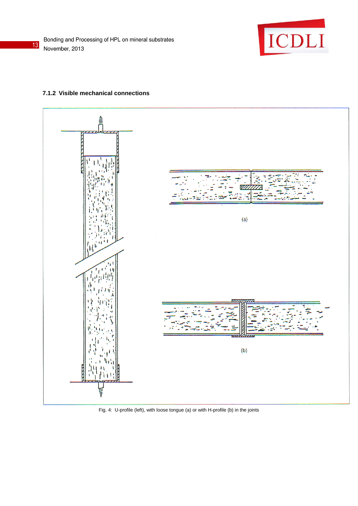

#### **7.1.2 Visible mechanical connections**



Fig. 4: U-profile (left), with loose tongue (a) or with H-profile (b) in the joints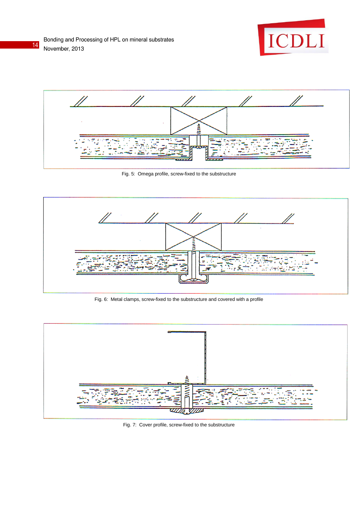



Fig. 5: Omega profile, screw-fixed to the substructure



Fig. 6: Metal clamps, screw-fixed to the substructure and covered with a profile



Fig. 7: Cover profile, screw-fixed to the substructure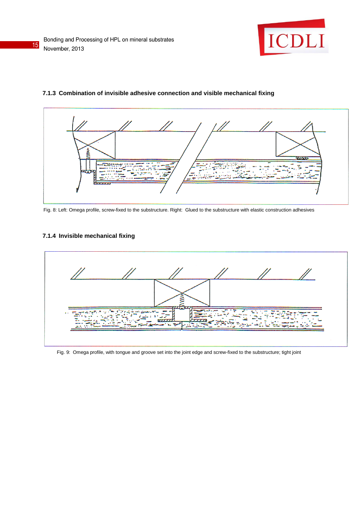



#### **7.1.3 Combination of invisible adhesive connection and visible mechanical fixing**

Fig. 8: Left: Omega profile, screw-fixed to the substructure. Right: Glued to the substructure with elastic construction adhesives

## **7.1.4 Invisible mechanical fixing**



Fig. 9: Omega profile, with tongue and groove set into the joint edge and screw-fixed to the substructure; tight joint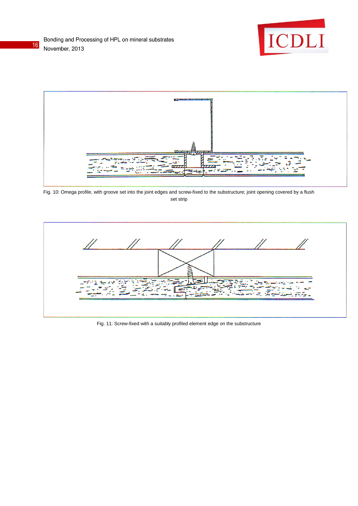





Fig. 10: Omega profile, with groove set into the joint edges and screw-fixed to the substructure; joint opening covered by a flush set strip



Fig. 11: Screw-fixed with a suitably profiled element edge on the substructure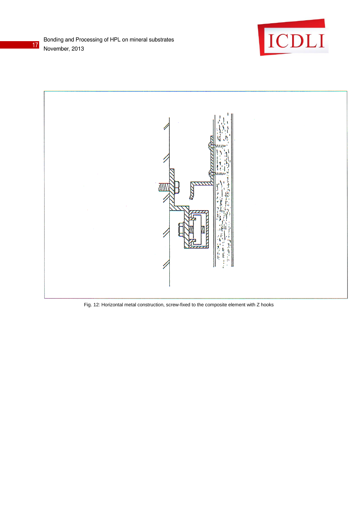



Fig. 12: Horizontal metal construction, screw-fixed to the composite element with Z hooks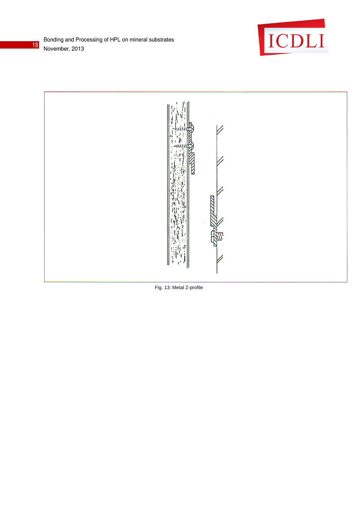





Fig. 13: Metal Z-profile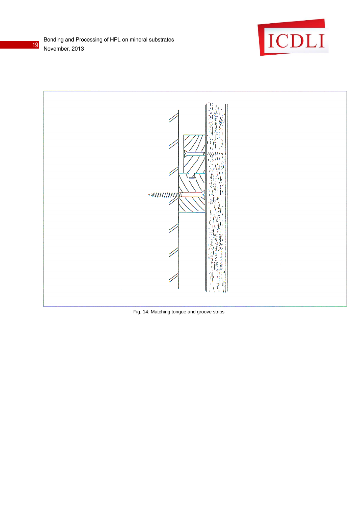



Fig. 14: Matching tongue and groove strips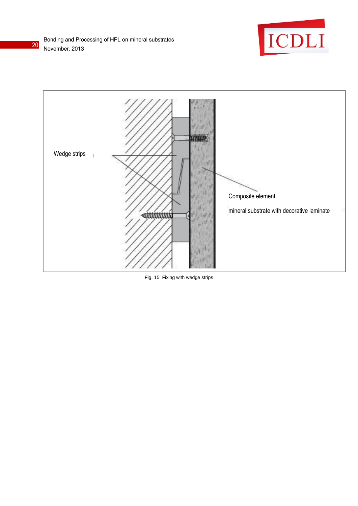





Fig. 15: Fixing with wedge strips